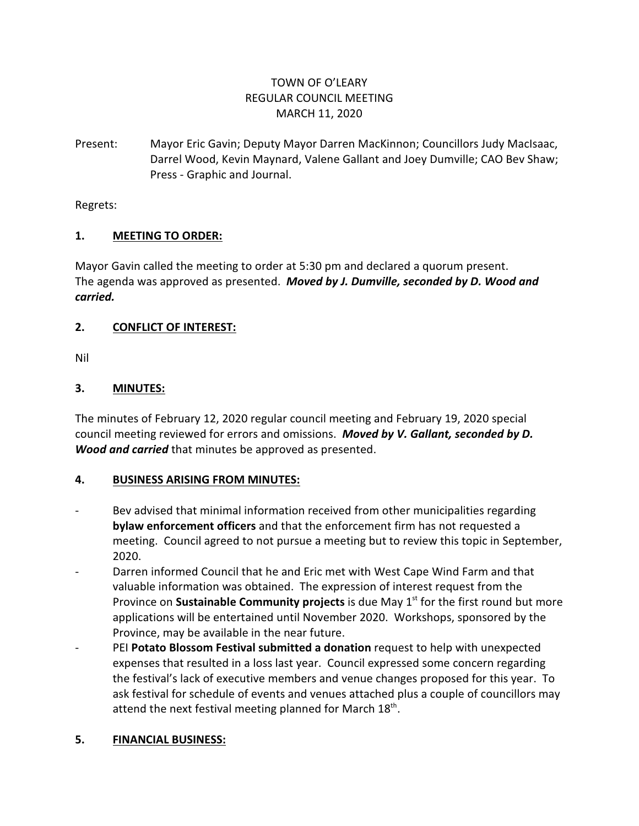# TOWN OF O'LEARY REGULAR COUNCIL MEETING MARCH 11, 2020

Present: Mayor Eric Gavin; Deputy Mayor Darren MacKinnon; Councillors Judy MacIsaac, Darrel Wood, Kevin Maynard, Valene Gallant and Joey Dumville; CAO Bev Shaw; Press - Graphic and Journal.

Regrets:

## **1. MEETING TO ORDER:**

Mayor Gavin called the meeting to order at 5:30 pm and declared a quorum present. The agenda was approved as presented. *Moved by J. Dumville, seconded by D. Wood and carried.*

# **2. CONFLICT OF INTEREST:**

Nil

# **3. MINUTES:**

The minutes of February 12, 2020 regular council meeting and February 19, 2020 special council meeting reviewed for errors and omissions. *Moved by V. Gallant, seconded by D. Wood and carried* that minutes be approved as presented.

## **4. BUSINESS ARISING FROM MINUTES:**

- Bev advised that minimal information received from other municipalities regarding **bylaw enforcement officers** and that the enforcement firm has not requested a meeting. Council agreed to not pursue a meeting but to review this topic in September, 2020.
- Darren informed Council that he and Eric met with West Cape Wind Farm and that valuable information was obtained. The expression of interest request from the Province on **Sustainable Community projects** is due May 1<sup>st</sup> for the first round but more applications will be entertained until November 2020. Workshops, sponsored by the Province, may be available in the near future.
- PEI **Potato Blossom Festival submitted a donation** request to help with unexpected expenses that resulted in a loss last year. Council expressed some concern regarding the festival's lack of executive members and venue changes proposed for this year. To ask festival for schedule of events and venues attached plus a couple of councillors may attend the next festival meeting planned for March  $18^{\text{th}}$ .

## **5. FINANCIAL BUSINESS:**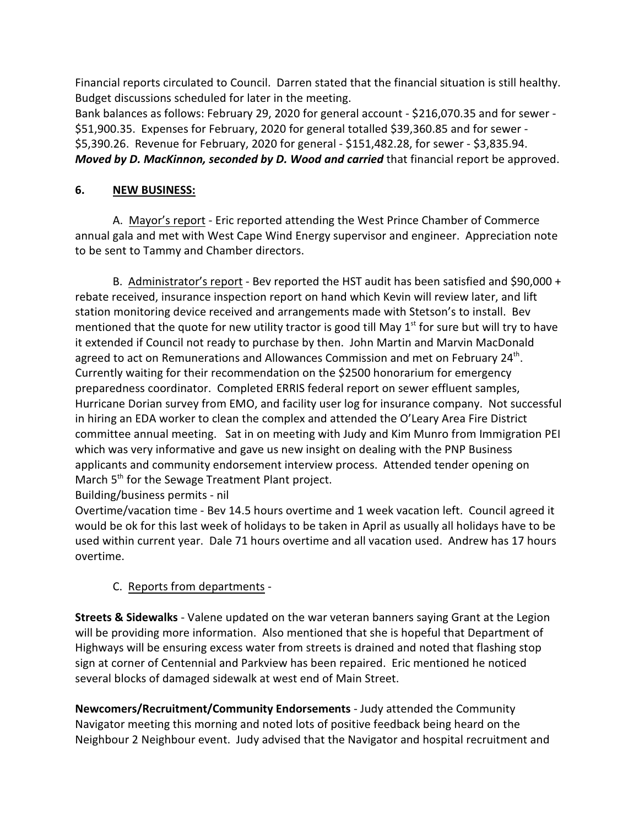Financial reports circulated to Council. Darren stated that the financial situation is still healthy. Budget discussions scheduled for later in the meeting.

Bank balances as follows: February 29, 2020 for general account - \$216,070.35 and for sewer - \$51,900.35. Expenses for February, 2020 for general totalled \$39,360.85 and for sewer - \$5,390.26. Revenue for February, 2020 for general - \$151,482.28, for sewer - \$3,835.94. *Moved by D. MacKinnon, seconded by D. Wood and carried* that financial report be approved.

## **6. NEW BUSINESS:**

A. Mayor's report - Eric reported attending the West Prince Chamber of Commerce annual gala and met with West Cape Wind Energy supervisor and engineer. Appreciation note to be sent to Tammy and Chamber directors.

B. Administrator's report - Bev reported the HST audit has been satisfied and \$90,000 + rebate received, insurance inspection report on hand which Kevin will review later, and lift station monitoring device received and arrangements made with Stetson's to install. Bev mentioned that the quote for new utility tractor is good till May  $1<sup>st</sup>$  for sure but will try to have it extended if Council not ready to purchase by then. John Martin and Marvin MacDonald agreed to act on Remunerations and Allowances Commission and met on February 24<sup>th</sup>. Currently waiting for their recommendation on the \$2500 honorarium for emergency preparedness coordinator. Completed ERRIS federal report on sewer effluent samples, Hurricane Dorian survey from EMO, and facility user log for insurance company. Not successful in hiring an EDA worker to clean the complex and attended the O'Leary Area Fire District committee annual meeting. Sat in on meeting with Judy and Kim Munro from Immigration PEI which was very informative and gave us new insight on dealing with the PNP Business applicants and community endorsement interview process. Attended tender opening on March 5<sup>th</sup> for the Sewage Treatment Plant project. Building/business permits - nil

Overtime/vacation time - Bev 14.5 hours overtime and 1 week vacation left. Council agreed it would be ok for this last week of holidays to be taken in April as usually all holidays have to be used within current year. Dale 71 hours overtime and all vacation used. Andrew has 17 hours overtime.

# C. Reports from departments -

**Streets & Sidewalks** - Valene updated on the war veteran banners saying Grant at the Legion will be providing more information. Also mentioned that she is hopeful that Department of Highways will be ensuring excess water from streets is drained and noted that flashing stop sign at corner of Centennial and Parkview has been repaired. Eric mentioned he noticed several blocks of damaged sidewalk at west end of Main Street.

**Newcomers/Recruitment/Community Endorsements** - Judy attended the Community Navigator meeting this morning and noted lots of positive feedback being heard on the Neighbour 2 Neighbour event. Judy advised that the Navigator and hospital recruitment and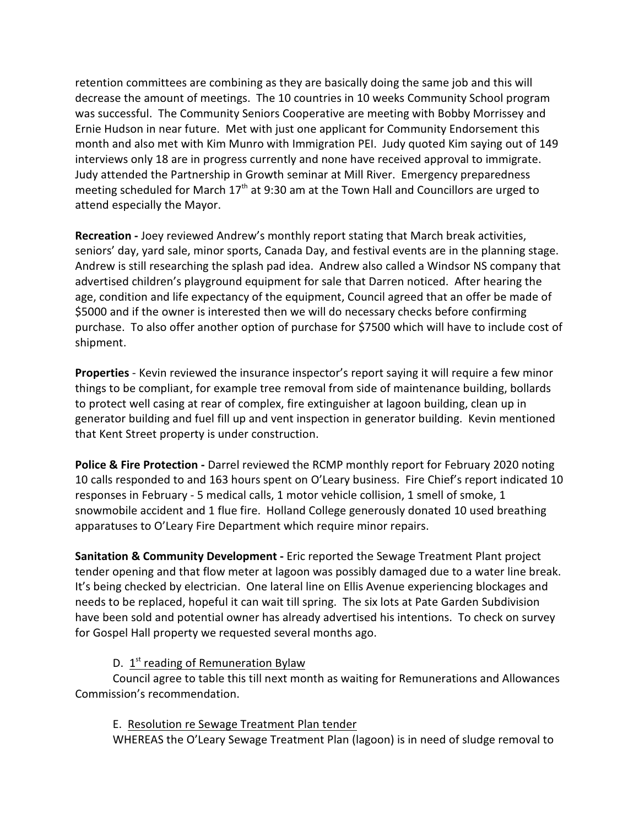retention committees are combining as they are basically doing the same job and this will decrease the amount of meetings. The 10 countries in 10 weeks Community School program was successful. The Community Seniors Cooperative are meeting with Bobby Morrissey and Ernie Hudson in near future. Met with just one applicant for Community Endorsement this month and also met with Kim Munro with Immigration PEI. Judy quoted Kim saying out of 149 interviews only 18 are in progress currently and none have received approval to immigrate. Judy attended the Partnership in Growth seminar at Mill River. Emergency preparedness meeting scheduled for March  $17<sup>th</sup>$  at 9:30 am at the Town Hall and Councillors are urged to attend especially the Mayor.

**Recreation -** Joey reviewed Andrew's monthly report stating that March break activities, seniors' day, yard sale, minor sports, Canada Day, and festival events are in the planning stage. Andrew is still researching the splash pad idea. Andrew also called a Windsor NS company that advertised children's playground equipment for sale that Darren noticed. After hearing the age, condition and life expectancy of the equipment, Council agreed that an offer be made of \$5000 and if the owner is interested then we will do necessary checks before confirming purchase. To also offer another option of purchase for \$7500 which will have to include cost of shipment.

**Properties** - Kevin reviewed the insurance inspector's report saying it will require a few minor things to be compliant, for example tree removal from side of maintenance building, bollards to protect well casing at rear of complex, fire extinguisher at lagoon building, clean up in generator building and fuel fill up and vent inspection in generator building. Kevin mentioned that Kent Street property is under construction.

**Police & Fire Protection -** Darrel reviewed the RCMP monthly report for February 2020 noting 10 calls responded to and 163 hours spent on O'Leary business. Fire Chief's report indicated 10 responses in February - 5 medical calls, 1 motor vehicle collision, 1 smell of smoke, 1 snowmobile accident and 1 flue fire. Holland College generously donated 10 used breathing apparatuses to O'Leary Fire Department which require minor repairs.

**Sanitation & Community Development -** Eric reported the Sewage Treatment Plant project tender opening and that flow meter at lagoon was possibly damaged due to a water line break. It's being checked by electrician. One lateral line on Ellis Avenue experiencing blockages and needs to be replaced, hopeful it can wait till spring. The six lots at Pate Garden Subdivision have been sold and potential owner has already advertised his intentions. To check on survey for Gospel Hall property we requested several months ago.

# D. 1<sup>st</sup> reading of Remuneration Bylaw

Council agree to table this till next month as waiting for Remunerations and Allowances Commission's recommendation.

## E. Resolution re Sewage Treatment Plan tender

WHEREAS the O'Leary Sewage Treatment Plan (lagoon) is in need of sludge removal to